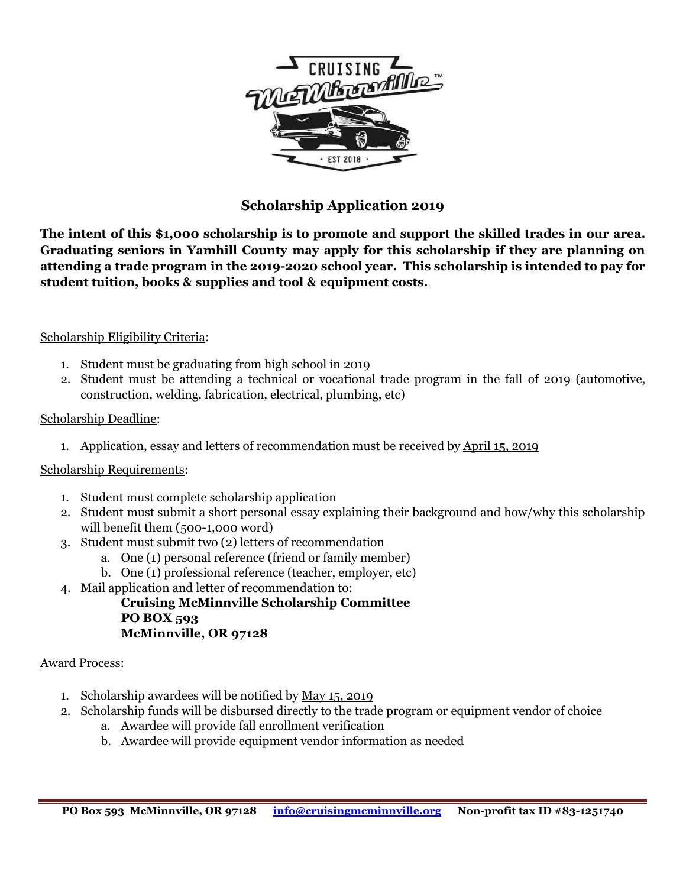

## **Scholarship Application 2019**

**The intent of this \$1,000 scholarship is to promote and support the skilled trades in our area. Graduating seniors in Yamhill County may apply for this scholarship if they are planning on attending a trade program in the 2019-2020 school year. This scholarship is intended to pay for student tuition, books & supplies and tool & equipment costs.**

#### Scholarship Eligibility Criteria:

- 1. Student must be graduating from high school in 2019
- 2. Student must be attending a technical or vocational trade program in the fall of 2019 (automotive, construction, welding, fabrication, electrical, plumbing, etc)

#### Scholarship Deadline:

1. Application, essay and letters of recommendation must be received by April 15, 2019

### Scholarship Requirements:

- 1. Student must complete scholarship application
- 2. Student must submit a short personal essay explaining their background and how/why this scholarship will benefit them (500-1,000 word)
- 3. Student must submit two (2) letters of recommendation
	- a. One (1) personal reference (friend or family member)
	- b. One (1) professional reference (teacher, employer, etc)
- 4. Mail application and letter of recommendation to:
	- **Cruising McMinnville Scholarship Committee PO BOX 593 McMinnville, OR 97128**

#### Award Process:

- 1. Scholarship awardees will be notified by May 15, 2019
- 2. Scholarship funds will be disbursed directly to the trade program or equipment vendor of choice
	- a. Awardee will provide fall enrollment verification
	- b. Awardee will provide equipment vendor information as needed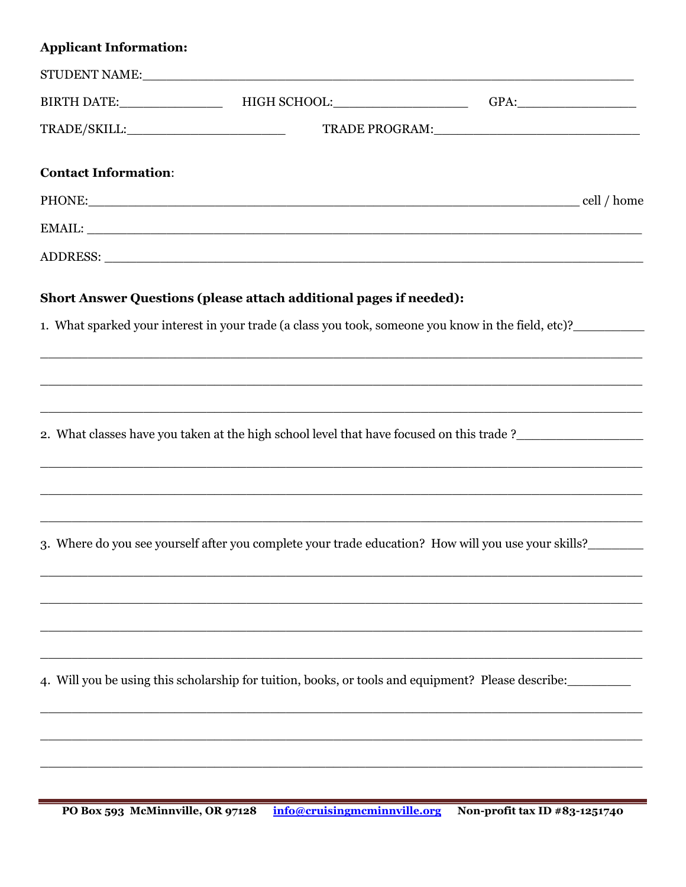# **Applicant Information:**

|                             | STUDENT NAME: VALUE AND THE STUDENT NAME OF THE STUDENT NAME OF THE STUDENT OF THE STUDENT OF THE STUDENT OF T |                                                                                                                |
|-----------------------------|----------------------------------------------------------------------------------------------------------------|----------------------------------------------------------------------------------------------------------------|
|                             |                                                                                                                |                                                                                                                |
|                             |                                                                                                                |                                                                                                                |
| <b>Contact Information:</b> |                                                                                                                |                                                                                                                |
|                             |                                                                                                                | PHONE: cell / home                                                                                             |
|                             |                                                                                                                |                                                                                                                |
|                             |                                                                                                                |                                                                                                                |
|                             | <b>Short Answer Questions (please attach additional pages if needed):</b>                                      |                                                                                                                |
|                             |                                                                                                                | 1. What sparked your interest in your trade (a class you took, someone you know in the field, etc)?            |
|                             |                                                                                                                |                                                                                                                |
|                             |                                                                                                                |                                                                                                                |
|                             |                                                                                                                | 2. What classes have you taken at the high school level that have focused on this trade?______________________ |
|                             |                                                                                                                |                                                                                                                |
|                             |                                                                                                                | 3. Where do you see yourself after you complete your trade education? How will you use your skills?            |
|                             |                                                                                                                |                                                                                                                |
|                             |                                                                                                                |                                                                                                                |
|                             |                                                                                                                | 4. Will you be using this scholarship for tuition, books, or tools and equipment? Please describe:             |
|                             |                                                                                                                |                                                                                                                |
|                             |                                                                                                                |                                                                                                                |
|                             |                                                                                                                |                                                                                                                |